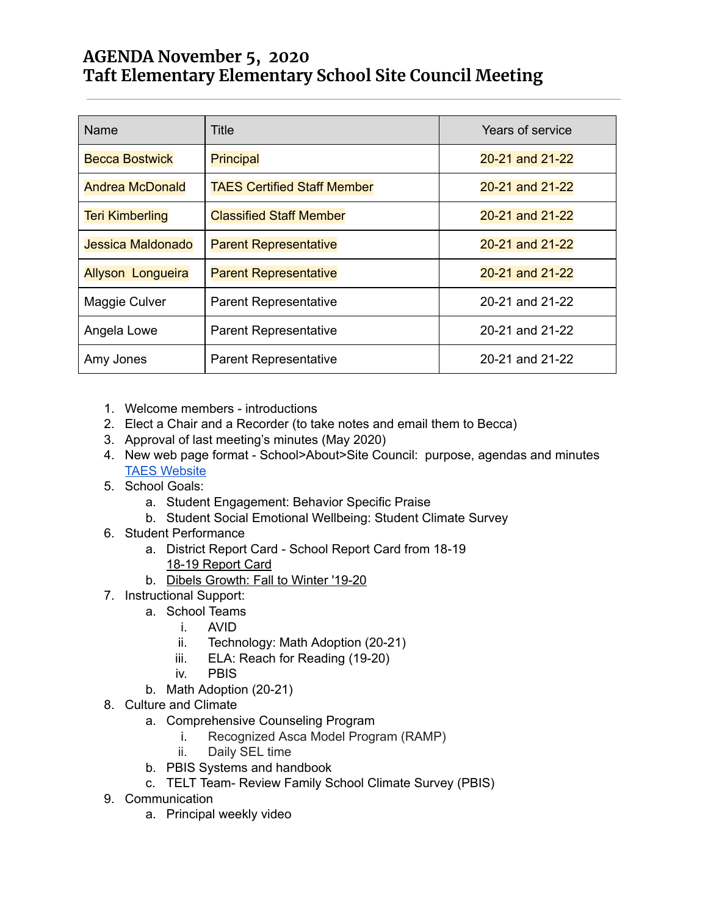## **AGENDA November 5, 2020 Taft Elementary Elementary School Site Council Meeting**

| Name                     | Title                              | Years of service |
|--------------------------|------------------------------------|------------------|
| <b>Becca Bostwick</b>    | <b>Principal</b>                   | 20-21 and 21-22  |
| <b>Andrea McDonald</b>   | <b>TAES Certified Staff Member</b> | 20-21 and 21-22  |
| <b>Teri Kimberling</b>   | <b>Classified Staff Member</b>     | 20-21 and 21-22  |
| Jessica Maldonado        | <b>Parent Representative</b>       | 20-21 and 21-22  |
| <b>Allyson Longueira</b> | <b>Parent Representative</b>       | 20-21 and 21-22  |
| Maggie Culver            | <b>Parent Representative</b>       | 20-21 and 21-22  |
| Angela Lowe              | <b>Parent Representative</b>       | 20-21 and 21-22  |
| Amy Jones                | <b>Parent Representative</b>       | 20-21 and 21-22  |

- 1. Welcome members introductions
- 2. Elect a Chair and a Recorder (to take notes and email them to Becca)
- 3. Approval of last meeting's minutes (May 2020)
- 4. New web page format School>About>Site Council: purpose, agendas and minutes TAES [Website](https://taft-elem.lincoln.k12.or.us/our-school/site-council/)
- 5. School Goals:
	- a. Student Engagement: Behavior Specific Praise
	- b. Student Social Emotional Wellbeing: Student Climate Survey
- 6. Student Performance
	- a. District Report Card School Report Card from 18-19 18-19 [Report](https://www.ode.state.or.us/data/reportcard/reports.aspx?id=620) Card
	- b. Dibels [Growth:](https://docs.google.com/presentation/d/1xxHFFC1kpbQx0t_jkdA-NJvVDapFxbpDXzvk4yJbtuI/edit?usp=sharing) Fall to Winter '19-20
- 7. Instructional Support:
	- a. School Teams
		- i. AVID
		- ii. Technology: Math Adoption (20-21)
		- iii. ELA: Reach for Reading (19-20)
		- iv. PBIS
	- b. Math Adoption (20-21)
- 8. Culture and Climate
	- a. Comprehensive Counseling Program
		- i. Recognized Asca Model Program (RAMP)
		- ii. Daily SEL time
	- b. PBIS Systems and handbook
	- c. TELT Team- Review Family School Climate Survey (PBIS)
- 9. Communication
	- a. Principal weekly video